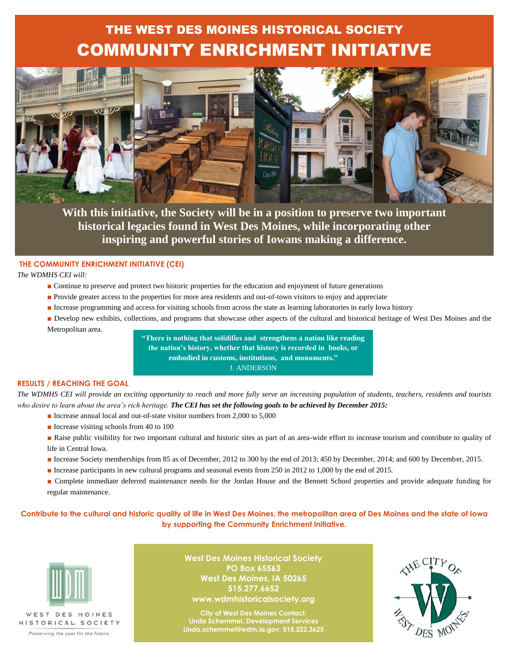### THE WEST DES MOINES HISTORICAL SOCIETY COMMUNITY ENRICHMENT INITIATIVE



**With this initiative, the Society will be in a position to preserve two important historical legacies found in West Des Moines, while incorporating other inspiring and powerful stories of Iowans making a difference.**

### **THE COMMUNITY ENRICHMENT INITIATIVE (CEI)**

*The WDMHS CEI will:* 

- Continue to preserve and protect two historic properties for the education and enjoyment of future generations
- Provide greater access to the properties for more area residents and out-of-town visitors to enjoy and appreciate
- Increase programming and access for visiting schools from across the state as learning laboratories in early Iowa history
- Develop new exhibits, collections, and programs that showcase other aspects of the cultural and historical heritage of West Des Moines and the Metropolitan area.

**"There is nothing that solidifies and strengthens a nation like reading the nation's history, whether that history is recorded in books, or embodied in customs, institutions, and monuments."**  J. ANDERSON

#### **RESULTS / REACHING THE GOAL**

*The WDMHS CEI will provide an exciting opportunity to reach and more fully serve an increasing population of students, teachers, residents and tourists who desire to learn about the area's rich heritage. The CEI has set the following goals to be achieved by December 2015:* 

- Increase annual local and out-of-state visitor numbers from 2,000 to 5,000
- Increase visiting schools from 40 to 100
- Raise public visibility for two important cultural and historic sites as part of an area-wide effort to increase tourism and contribute to quality of life in Central Iowa.
- Increase Society memberships from 85 as of December, 2012 to 300 by the end of 2013; 450 by December, 2014; and 600 by December, 2015.
- Increase participants in new cultural programs and seasonal events from 250 in 2012 to 1,000 by the end of 2015.
- Complete immediate deferred maintenance needs for the Jordan House and the Bennett School properties and provide adequate funding for regular maintenance.

**Contribute to the cultural and historic quality of life in West Des Moines, the metropolitan area of Des Moines and the state of Iowa by supporting the Community Enrichment Initiative.** 



Preserving the past for the future

**West Des Moines Historical Society PO Box 65563 West Des Moines, IA 50265 515.277.6652 www.wdmhistoricalsociety.org**

**City of West Des Moines Contact: Linda Schemmel, Development Services Linda.schemmel@wdm.ia.gov, 515.222.3625**